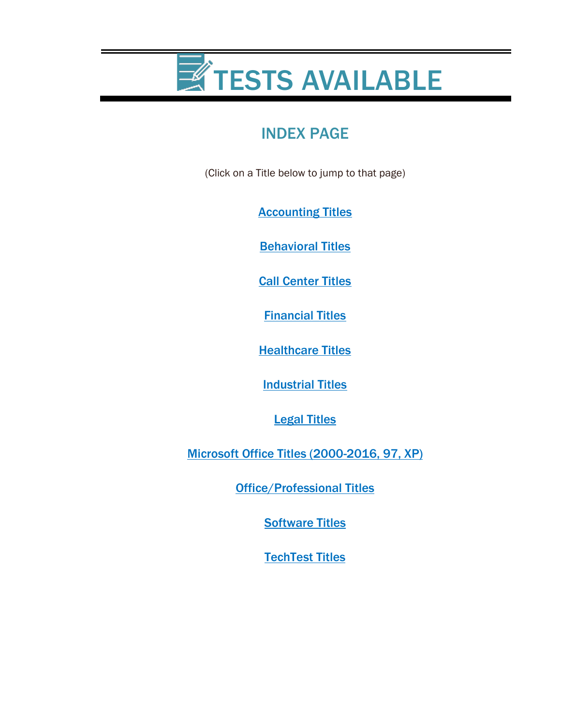<span id="page-0-0"></span>

## INDEX PAGE

(Click on a Title below to jump to that page)

**[Accounting Titles](#page-1-0)** 

[Behavioral Titles](#page-2-0)

**[Call Center Titles](#page-3-0)** 

[Financial Titles](#page-4-0)

**[Healthcare Titles](#page-6-0)** 

[Industrial Titles](#page-8-0)

[Legal Titles](#page-11-0)

[Microsoft Office Titles \(2000-2016, 97, XP\)](#page-5-0)

[Office/Professional Titles](#page-11-0)

**[Software Titles](#page-14-0)** 

[TechTest Titles](#page-16-0)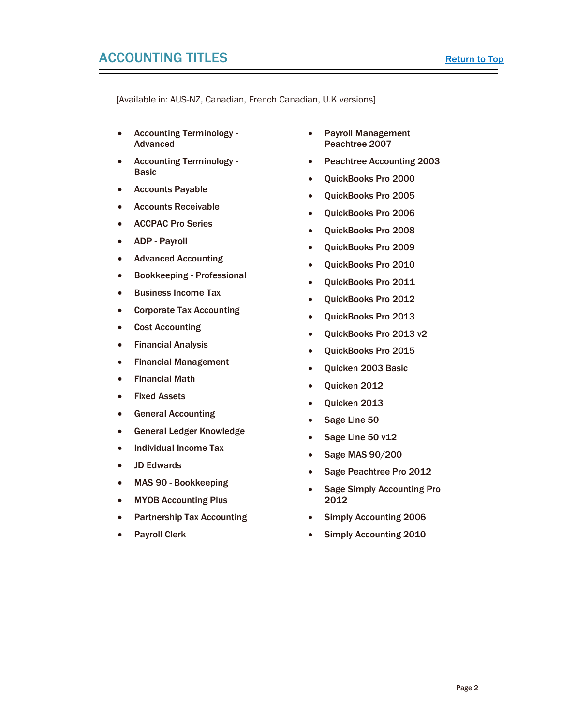<span id="page-1-0"></span>[Available in: AUS-NZ, Canadian, French Canadian, U.K versions]

- Accounting Terminology **Advanced**
- Accounting Terminology Basic
- Accounts Payable
- Accounts Receivable
- ACCPAC Pro Series
- ADP Payroll
- Advanced Accounting
- Bookkeeping Professional
- Business Income Tax
- Corporate Tax Accounting
- Cost Accounting
- Financial Analysis
- Financial Management
- Financial Math
- Fixed Assets
- General Accounting
- General Ledger Knowledge
- Individual Income Tax
- JD Edwards
- MAS 90 Bookkeeping
- MYOB Accounting Plus
- Partnership Tax Accounting
- Payroll Clerk
- Payroll Management Peachtree 2007
- Peachtree Accounting 2003
- QuickBooks Pro 2000
- QuickBooks Pro 2005
- QuickBooks Pro 2006
- QuickBooks Pro 2008
- QuickBooks Pro 2009
- QuickBooks Pro 2010
- QuickBooks Pro 2011
- QuickBooks Pro 2012
- QuickBooks Pro 2013
- QuickBooks Pro 2013 v2
- QuickBooks Pro 2015
- Quicken 2003 Basic
- Quicken 2012
- Quicken 2013
- Sage Line 50
- Sage Line 50 v12
- Sage MAS 90/200
- Sage Peachtree Pro 2012
- Sage Simply Accounting Pro 2012
- Simply Accounting 2006
- Simply Accounting 2010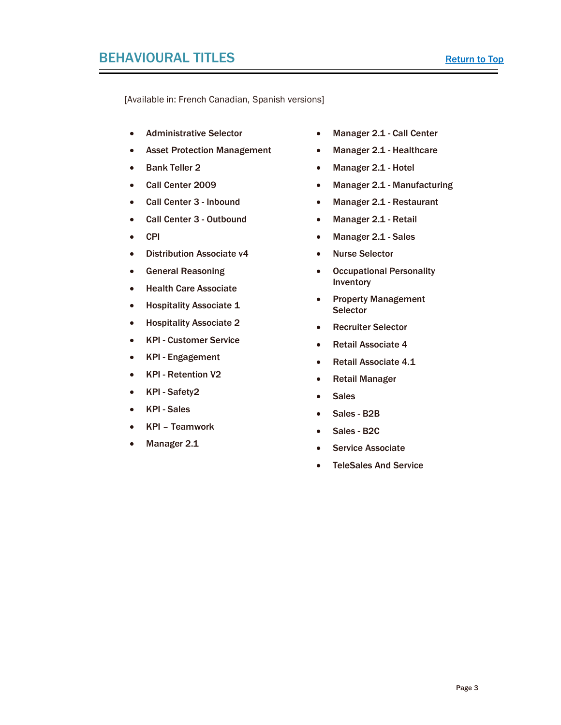<span id="page-2-0"></span>[Available in: French Canadian, Spanish versions]

- Administrative Selector
- Asset Protection Management
- Bank Teller 2
- Call Center 2009
- Call Center 3 Inbound
- Call Center 3 Outbound
- CPI
- Distribution Associate v4
- General Reasoning
- Health Care Associate
- Hospitality Associate 1
- Hospitality Associate 2
- KPI Customer Service
- KPI Engagement
- KPI Retention V2
- KPI Safety2
- KPI Sales
- KPI Teamwork
- Manager 2.1
- Manager 2.1 Call Center
- Manager 2.1 Healthcare
- Manager 2.1 Hotel
- Manager 2.1 Manufacturing
- Manager 2.1 Restaurant
- Manager 2.1 Retail
- Manager 2.1 Sales
- Nurse Selector
- Occupational Personality Inventory
- Property Management **Selector**
- Recruiter Selector
- Retail Associate 4
- Retail Associate 4.1
- Retail Manager
- **Sales**
- Sales B<sub>2</sub>B
- Sales B2C
- Service Associate
- TeleSales And Service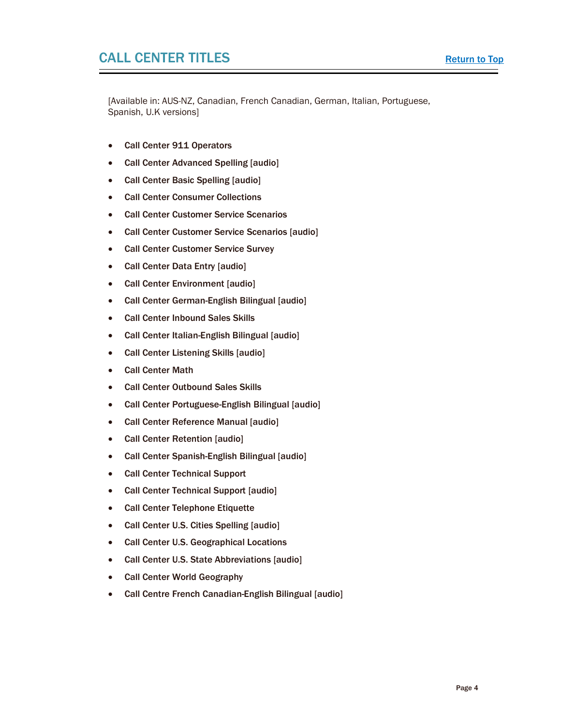## <span id="page-3-0"></span>**CALL CENTER TITLES** [Return to Top](#page-0-0)

[Available in: AUS-NZ, Canadian, French Canadian, German, Italian, Portuguese, Spanish, U.K versions]

- Call Center 911 Operators
- Call Center Advanced Spelling [audio]
- Call Center Basic Spelling [audio]
- Call Center Consumer Collections
- Call Center Customer Service Scenarios
- Call Center Customer Service Scenarios [audio]
- Call Center Customer Service Survey
- Call Center Data Entry [audio]
- Call Center Environment [audio]
- Call Center German-English Bilingual [audio]
- Call Center Inbound Sales Skills
- Call Center Italian-English Bilingual [audio]
- Call Center Listening Skills [audio]
- Call Center Math
- Call Center Outbound Sales Skills
- Call Center Portuguese-English Bilingual [audio]
- Call Center Reference Manual [audio]
- Call Center Retention [audio]
- Call Center Spanish-English Bilingual [audio]
- Call Center Technical Support
- Call Center Technical Support [audio]
- Call Center Telephone Etiquette
- Call Center U.S. Cities Spelling [audio]
- Call Center U.S. Geographical Locations
- Call Center U.S. State Abbreviations [audio]
- Call Center World Geography
- Call Centre French Canadian-English Bilingual [audio]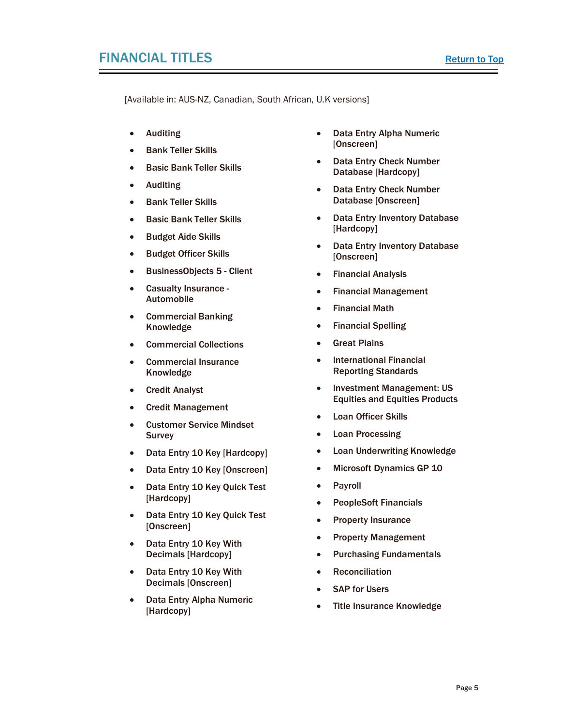<span id="page-4-0"></span>[Available in: AUS-NZ, Canadian, South African, U.K versions]

- Auditing
- Bank Teller Skills
- Basic Bank Teller Skills
- Auditing
- Bank Teller Skills
- Basic Bank Teller Skills
- Budget Aide Skills
- Budget Officer Skills
- BusinessObjects 5 Client
- Casualty Insurance Automobile
- Commercial Banking Knowledge
- Commercial Collections
- Commercial Insurance Knowledge
- Credit Analyst
- Credit Management
- Customer Service Mindset **Survey**
- Data Entry 10 Key [Hardcopy]
- Data Entry 10 Key [Onscreen]
- Data Entry 10 Key Quick Test [Hardcopy]
- Data Entry 10 Key Quick Test [Onscreen]
- Data Entry 10 Key With Decimals [Hardcopy]
- Data Entry 10 Key With Decimals [Onscreen]
- Data Entry Alpha Numeric [Hardcopy]
- Data Entry Alpha Numeric [Onscreen]
- **Data Entry Check Number** Database [Hardcopy]
- Data Entry Check Number Database [Onscreen]
- Data Entry Inventory Database [Hardcopy]
- Data Entry Inventory Database [Onscreen]
- Financial Analysis
- Financial Management
- Financial Math
- Financial Spelling
- Great Plains
- International Financial Reporting Standards
- Investment Management: US Equities and Equities Products
- Loan Officer Skills
- Loan Processing
- Loan Underwriting Knowledge
- Microsoft Dynamics GP 10
- Payroll
- PeopleSoft Financials
- Property Insurance
- Property Management
- Purchasing Fundamentals
- Reconciliation
- **SAP for Users**
- Title Insurance Knowledge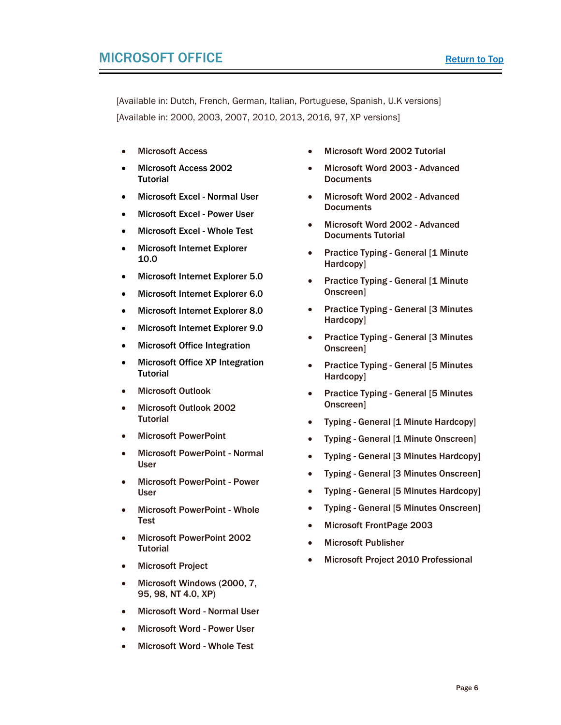<span id="page-5-0"></span>[Available in: Dutch, French, German, Italian, Portuguese, Spanish, U.K versions] [Available in: 2000, 2003, 2007, 2010, 2013, 2016, 97, XP versions]

- Microsoft Access
- Microsoft Access 2002 **Tutorial**
- Microsoft Excel Normal User
- Microsoft Excel Power User
- Microsoft Excel Whole Test
- Microsoft Internet Explorer 10.0
- Microsoft Internet Explorer 5.0
- Microsoft Internet Explorer 6.0
- Microsoft Internet Explorer 8.0
- Microsoft Internet Explorer 9.0
- Microsoft Office Integration
- Microsoft Office XP Integration **Tutorial**
- Microsoft Outlook
- Microsoft Outlook 2002 **Tutorial**
- Microsoft PowerPoint
- Microsoft PowerPoint Normal User
- Microsoft PowerPoint Power User
- Microsoft PowerPoint Whole Test
- Microsoft PowerPoint 2002 **Tutorial**
- Microsoft Project
- Microsoft Windows (2000, 7, 95, 98, NT 4.0, XP)
- Microsoft Word Normal User
- Microsoft Word Power User
- Microsoft Word Whole Test
- Microsoft Word 2002 Tutorial
- Microsoft Word 2003 Advanced **Documents**
- Microsoft Word 2002 Advanced **Documents**
- Microsoft Word 2002 Advanced Documents Tutorial
- Practice Typing General [1 Minute Hardcopy]
- Practice Typing General [1 Minute Onscreen]
- Practice Typing General [3 Minutes Hardcopy]
- Practice Typing General [3 Minutes Onscreen]
- Practice Typing General [5 Minutes Hardcopy]
- Practice Typing General [5 Minutes Onscreen]
- Typing General [1 Minute Hardcopy]
- Typing General [1 Minute Onscreen]
- Typing General [3 Minutes Hardcopy]
- Typing General [3 Minutes Onscreen]
- Typing General [5 Minutes Hardcopy]
- Typing General [5 Minutes Onscreen]
- Microsoft FrontPage 2003
- Microsoft Publisher
- Microsoft Project 2010 Professional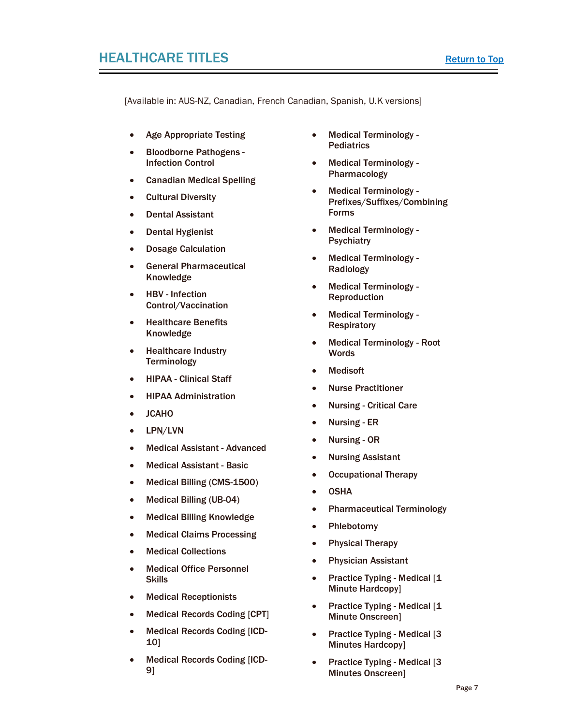<span id="page-6-0"></span>[Available in: AUS-NZ, Canadian, French Canadian, Spanish, U.K versions]

- Age Appropriate Testing
- Bloodborne Pathogens Infection Control
- Canadian Medical Spelling
- Cultural Diversity
- Dental Assistant
- Dental Hygienist
- Dosage Calculation
- General Pharmaceutical Knowledge
- HBV Infection Control/Vaccination
- Healthcare Benefits Knowledge
- Healthcare Industry **Terminology**
- HIPAA Clinical Staff
- HIPAA Administration
- JCAHO
- LPN/LVN
- Medical Assistant Advanced
- Medical Assistant Basic
- Medical Billing (CMS-1500)
- Medical Billing (UB-04)
- Medical Billing Knowledge
- Medical Claims Processing
- Medical Collections
- Medical Office Personnel Skills
- Medical Receptionists
- Medical Records Coding [CPT]
- Medical Records Coding [ICD-10]
- Medical Records Coding [ICD-9]
- Medical Terminology **Pediatrics**
- Medical Terminology Pharmacology
- Medical Terminology Prefixes/Suffixes/Combining Forms
- Medical Terminology **Psychiatry**
- Medical Terminology Radiology
- Medical Terminology Reproduction
- Medical Terminology **Respiratory**
- Medical Terminology Root Words
- Medisoft
- Nurse Practitioner
- Nursing Critical Care
- Nursing ER
- Nursing OR
- Nursing Assistant
- Occupational Therapy
- OSHA
- Pharmaceutical Terminology
- Phlebotomy
- Physical Therapy
- Physician Assistant
- Practice Typing Medical [1 Minute Hardcopy]
- Practice Typing Medical [1 Minute Onscreen]
- Practice Typing Medical [3 Minutes Hardcopy]
- Practice Typing Medical [3] Minutes Onscreen]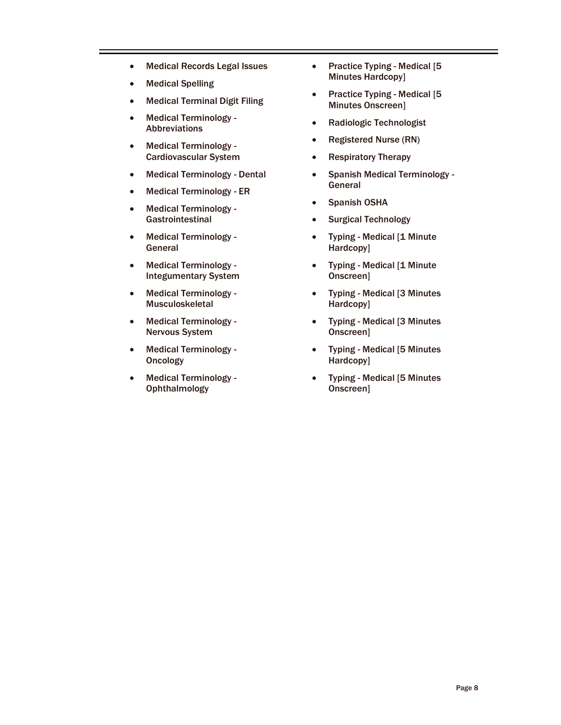- Medical Records Legal Issues
- Medical Spelling
- Medical Terminal Digit Filing
- Medical Terminology Abbreviations
- Medical Terminology Cardiovascular System
- Medical Terminology Dental
- Medical Terminology ER
- Medical Terminology **Gastrointestinal**
- Medical Terminology General
- Medical Terminology Integumentary System
- Medical Terminology Musculoskeletal
- Medical Terminology Nervous System
- Medical Terminology **Oncology**
- Medical Terminology **Ophthalmology**
- Practice Typing Medical [5 Minutes Hardcopy]
- Practice Typing Medical [5 Minutes Onscreen]
- Radiologic Technologist
- Registered Nurse (RN)
- Respiratory Therapy
- Spanish Medical Terminology General
- Spanish OSHA
- Surgical Technology
- Typing Medical [1 Minute Hardcopy]
- Typing Medical [1 Minute Onscreen]
- Typing Medical [3 Minutes Hardcopy]
- Typing Medical [3 Minutes Onscreen]
- Typing Medical [5 Minutes Hardcopy]
- Typing Medical [5 Minutes Onscreen]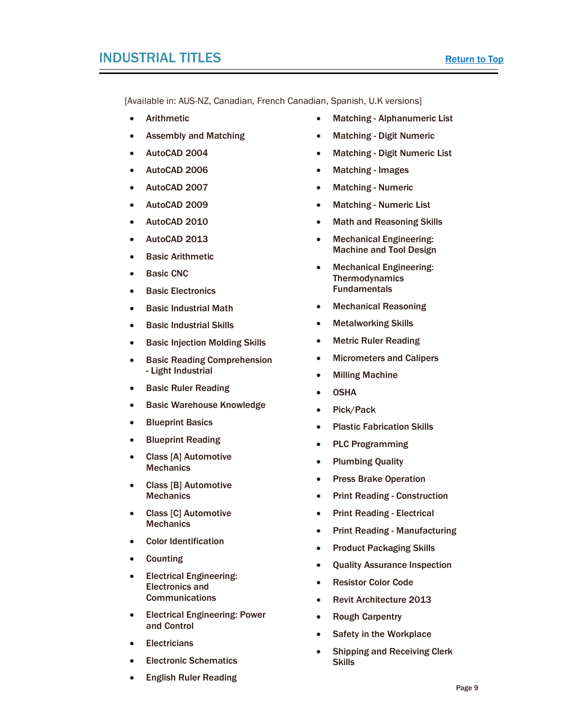## <span id="page-8-0"></span>**INDUSTRIAL TITLES** [Return to Top](#page-0-0)

[Available in: AUS-NZ, Canadian, French Canadian, Spanish, U.K versions]

- **Arithmetic**
- Assembly and Matching
- AutoCAD 2004
- AutoCAD 2006
- AutoCAD 2007
- AutoCAD 2009
- AutoCAD 2010
- AutoCAD 2013
- Basic Arithmetic
- Basic CNC
- Basic Electronics
- Basic Industrial Math
- Basic Industrial Skills
- Basic Injection Molding Skills
- Basic Reading Comprehension - Light Industrial
- Basic Ruler Reading
- Basic Warehouse Knowledge
- Blueprint Basics
- Blueprint Reading
- Class [A] Automotive **Mechanics**
- Class [B] Automotive **Mechanics**
- Class [C] Automotive **Mechanics**
- Color Identification
- Counting
- Electrical Engineering: Electronics and **Communications**
- Electrical Engineering: Power and Control
- Electricians
- Electronic Schematics
- English Ruler Reading
- Matching Alphanumeric List
- Matching Digit Numeric
- Matching Digit Numeric List
- Matching Images
- Matching Numeric
- Matching Numeric List
- Math and Reasoning Skills
- Mechanical Engineering: Machine and Tool Design
- Mechanical Engineering: **Thermodynamics** Fundamentals
- Mechanical Reasoning
- Metalworking Skills
- Metric Ruler Reading
- Micrometers and Calipers
- Milling Machine
- OSHA
- Pick/Pack
- Plastic Fabrication Skills
- PLC Programming
- Plumbing Quality
- Press Brake Operation
- Print Reading Construction
- Print Reading Electrical
- Print Reading Manufacturing
- Product Packaging Skills
- Quality Assurance Inspection
- Resistor Color Code
- Revit Architecture 2013
- Rough Carpentry
- Safety in the Workplace
- Shipping and Receiving Clerk Skills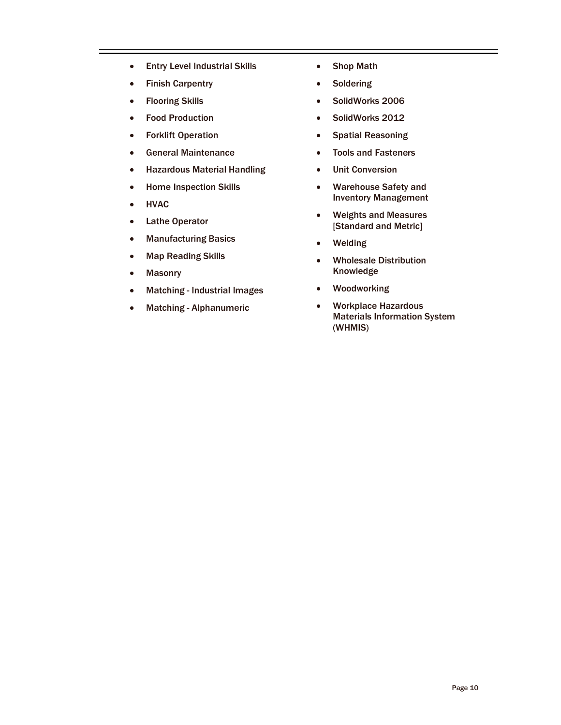- Entry Level Industrial Skills
- Finish Carpentry
- Flooring Skills
- Food Production
- Forklift Operation
- General Maintenance
- Hazardous Material Handling
- Home Inspection Skills
- HVAC
- Lathe Operator
- Manufacturing Basics
- Map Reading Skills
- Masonry
- Matching Industrial Images
- Matching Alphanumeric
- Shop Math
- Soldering
- SolidWorks 2006
- SolidWorks 2012
- Spatial Reasoning
- Tools and Fasteners
- Unit Conversion
- Warehouse Safety and Inventory Management
- Weights and Measures [Standard and Metric]
- Welding
- Wholesale Distribution Knowledge
- Woodworking
- Workplace Hazardous Materials Information System (WHMIS)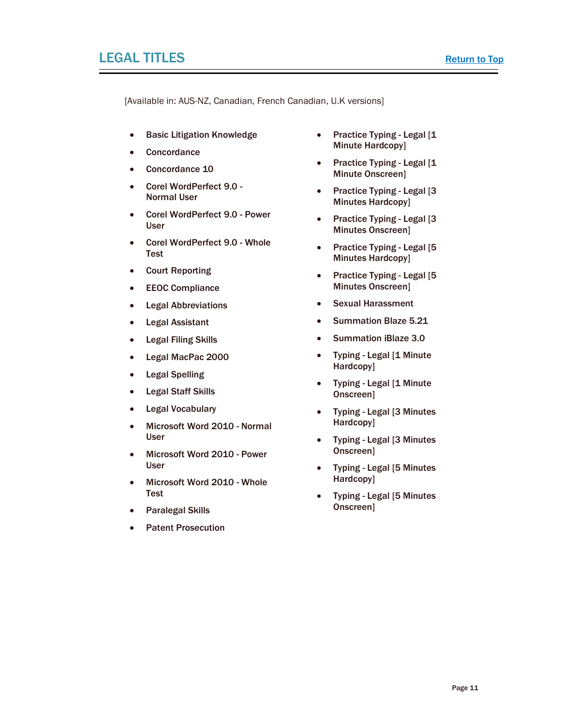## **LEGAL TITLES** [Return to Top](#page-0-0)

[Available in: AUS-NZ, Canadian, French Canadian, U.K versions]

- Basic Litigation Knowledge
- Concordance
- Concordance 10
- Corel WordPerfect 9.0 Normal User
- Corel WordPerfect 9.0 Power User
- Corel WordPerfect 9.0 Whole **Test**
- Court Reporting
- EEOC Compliance
- Legal Abbreviations
- Legal Assistant
- Legal Filing Skills
- Legal MacPac 2000
- Legal Spelling
- Legal Staff Skills
- Legal Vocabulary
- Microsoft Word 2010 Normal User
- Microsoft Word 2010 Power User
- Microsoft Word 2010 Whole **Test**
- Paralegal Skills
- Patent Prosecution
- Practice Typing Legal [1 Minute Hardcopy]
- Practice Typing Legal [1 Minute Onscreen]
- Practice Typing Legal [3 Minutes Hardcopy]
- Practice Typing Legal [3] Minutes Onscreen]
- Practice Typing Legal [5] Minutes Hardcopy]
- Practice Typing Legal [5 Minutes Onscreen]
- Sexual Harassment
- Summation Blaze 5.21
- Summation iBlaze 3.0
- Typing Legal [1 Minute Hardcopy]
- Typing Legal [1 Minute Onscreen]
- Typing Legal [3 Minutes Hardcopy]
- Typing Legal [3 Minutes Onscreen]
- Typing Legal [5 Minutes Hardcopy]
- Typing Legal [5 Minutes Onscreen]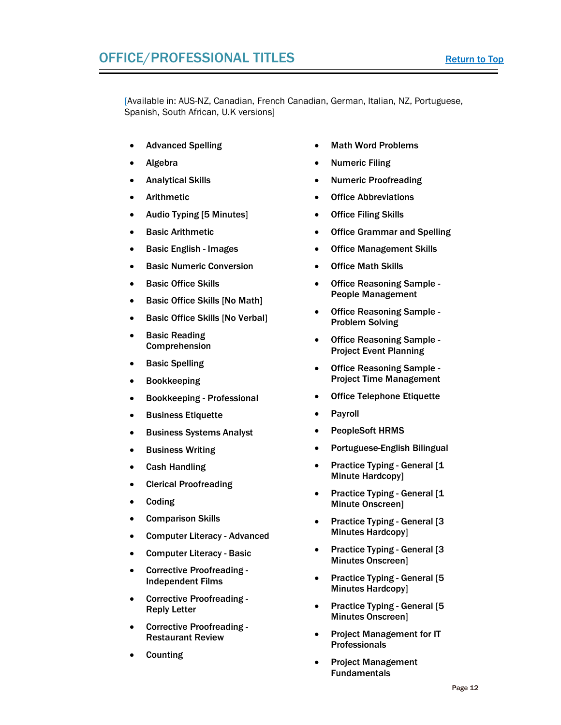<span id="page-11-0"></span>[Available in: AUS-NZ, Canadian, French Canadian, German, Italian, NZ, Portuguese, Spanish, South African, U.K versions]

- Advanced Spelling
- Algebra
- Analytical Skills
- Arithmetic
- Audio Typing [5 Minutes]
- Basic Arithmetic
- Basic English Images
- Basic Numeric Conversion
- Basic Office Skills
- Basic Office Skills [No Math]
- Basic Office Skills [No Verbal]
- Basic Reading Comprehension
- Basic Spelling
- Bookkeeping
- Bookkeeping Professional
- Business Etiquette
- Business Systems Analyst
- Business Writing
- Cash Handling
- Clerical Proofreading
- Coding
- Comparison Skills
- Computer Literacy Advanced
- Computer Literacy Basic
- Corrective Proofreading Independent Films
- Corrective Proofreading Reply Letter
- Corrective Proofreading Restaurant Review
- **Counting**
- Math Word Problems
- Numeric Filing
- Numeric Proofreading
- **Office Abbreviations**
- **Office Filing Skills**
- **Office Grammar and Spelling**
- Office Management Skills
- **Office Math Skills**
- Office Reasoning Sample People Management
- Office Reasoning Sample Problem Solving
- Office Reasoning Sample Project Event Planning
- Office Reasoning Sample Project Time Management
- **Office Telephone Etiquette**
- **Payroll**
- PeopleSoft HRMS
- Portuguese-English Bilingual
- Practice Typing General [1 Minute Hardcopy]
- Practice Typing General [1 Minute Onscreen]
- Practice Typing General [3] Minutes Hardcopy]
- Practice Typing General [3 Minutes Onscreen]
- Practice Typing General [5 Minutes Hardcopy]
- Practice Typing General [5 Minutes Onscreen]
- Project Management for IT Professionals
- Project Management **Fundamentals**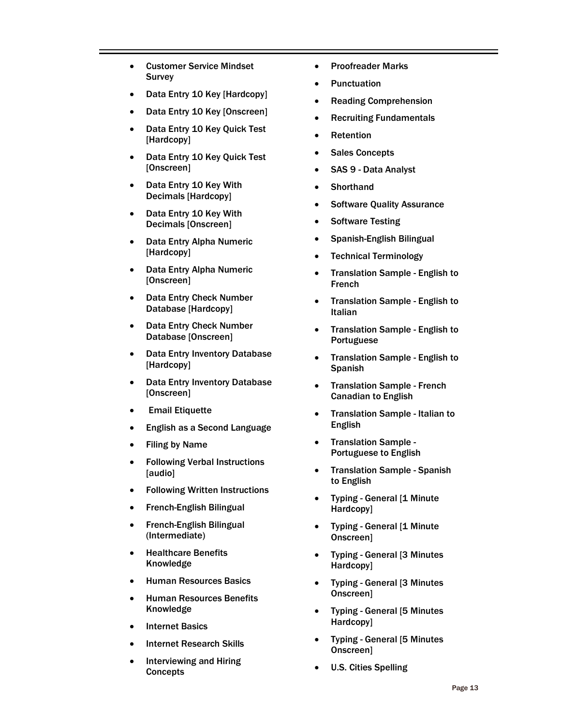- Customer Service Mindset **Survey**
- Data Entry 10 Key [Hardcopy]
- Data Entry 10 Key [Onscreen]
- Data Entry 10 Key Quick Test [Hardcopy]
- Data Entry 10 Key Quick Test [Onscreen]
- Data Entry 10 Key With Decimals [Hardcopy]
- Data Entry 10 Key With Decimals [Onscreen]
- Data Entry Alpha Numeric [Hardcopy]
- Data Entry Alpha Numeric [Onscreen]
- Data Entry Check Number Database [Hardcopy]
- Data Entry Check Number Database [Onscreen]
- Data Entry Inventory Database [Hardcopy]
- Data Entry Inventory Database [Onscreen]
- Email Etiquette
- English as a Second Language
- Filing by Name
- Following Verbal Instructions [audio]
- **Following Written Instructions**
- French-English Bilingual
- French-English Bilingual (Intermediate)
- Healthcare Benefits Knowledge
- Human Resources Basics
- Human Resources Benefits Knowledge
- Internet Basics
- Internet Research Skills
- Interviewing and Hiring **Concepts**
- Proofreader Marks
- **Punctuation**
- Reading Comprehension
- Recruiting Fundamentals
- **Retention**
- Sales Concepts
- SAS 9 Data Analyst
- **Shorthand**
- **Software Quality Assurance**
- Software Testing
- Spanish-English Bilingual
- Technical Terminology
- Translation Sample English to French
- Translation Sample English to Italian
- Translation Sample English to Portuguese
- Translation Sample English to Spanish
- Translation Sample French Canadian to English
- Translation Sample Italian to English
- Translation Sample Portuguese to English
- Translation Sample Spanish to English
- Typing General [1 Minute Hardcopy]
- Typing General [1 Minute Onscreen]
- Typing General [3 Minutes Hardcopy]
- Typing General [3 Minutes Onscreen]
- Typing General [5 Minutes Hardcopy]
- Typing General [5 Minutes Onscreen]
- U.S. Cities Spelling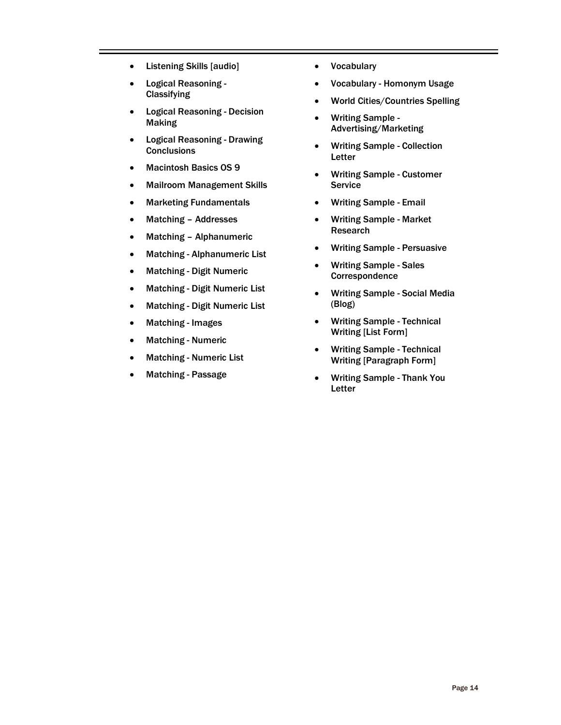- Listening Skills [audio]
- Logical Reasoning Classifying
- Logical Reasoning Decision Making
- Logical Reasoning Drawing **Conclusions**
- Macintosh Basics OS 9
- Mailroom Management Skills
- Marketing Fundamentals
- Matching Addresses
- Matching Alphanumeric
- Matching Alphanumeric List
- Matching Digit Numeric
- Matching Digit Numeric List
- Matching Digit Numeric List
- Matching Images
- Matching Numeric
- Matching Numeric List
- Matching Passage
- Vocabulary
- Vocabulary Homonym Usage
- World Cities/Countries Spelling
- Writing Sample Advertising/Marketing
- Writing Sample Collection Letter
- Writing Sample Customer Service
- Writing Sample Email
- Writing Sample Market Research
- Writing Sample Persuasive
- Writing Sample Sales Correspondence
- Writing Sample Social Media (Blog)
- Writing Sample Technical Writing [List Form]
- Writing Sample Technical Writing [Paragraph Form]
- Writing Sample Thank You **Letter**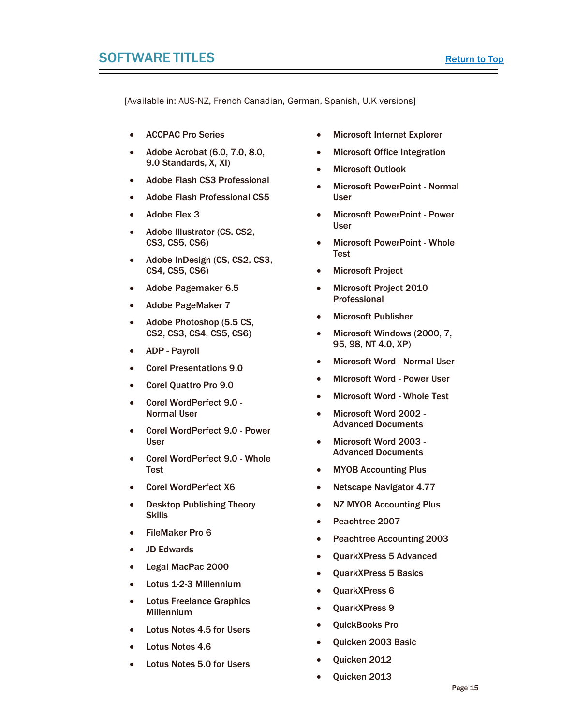<span id="page-14-0"></span>[Available in: AUS-NZ, French Canadian, German, Spanish, U.K versions]

- ACCPAC Pro Series
- Adobe Acrobat (6.0, 7.0, 8.0, 9.0 Standards, X, XI)
- Adobe Flash CS3 Professional
- Adobe Flash Professional CS5
- Adobe Flex 3
- Adobe Illustrator (CS, CS2, CS3, CS5, CS6)
- Adobe InDesign (CS, CS2, CS3, CS4, CS5, CS6)
- Adobe Pagemaker 6.5
- Adobe PageMaker 7
- Adobe Photoshop (5.5 CS, CS2, CS3, CS4, CS5, CS6)
- ADP Payroll
- Corel Presentations 9.0
- Corel Quattro Pro 9.0
- Corel WordPerfect 9.0 Normal User
- Corel WordPerfect 9.0 Power User
- Corel WordPerfect 9.0 Whole Test
- Corel WordPerfect X6
- Desktop Publishing Theory Skills
- FileMaker Pro 6
- JD Edwards
- Legal MacPac 2000
- Lotus 1-2-3 Millennium
- **Lotus Freelance Graphics** Millennium
- Lotus Notes 4.5 for Users
- Lotus Notes 4.6
- Lotus Notes 5.0 for Users
- Microsoft Internet Explorer
- Microsoft Office Integration
- Microsoft Outlook
- Microsoft PowerPoint Normal User
- Microsoft PowerPoint Power User
- Microsoft PowerPoint Whole **Test**
- **Microsoft Project**
- Microsoft Project 2010 Professional
- Microsoft Publisher
- Microsoft Windows (2000, 7, 95, 98, NT 4.0, XP)
- Microsoft Word Normal User
- Microsoft Word Power User
- Microsoft Word Whole Test
- Microsoft Word 2002 Advanced Documents
- Microsoft Word 2003 Advanced Documents
- MYOB Accounting Plus
- Netscape Navigator 4.77
- NZ MYOB Accounting Plus
- Peachtree 2007
- Peachtree Accounting 2003
- QuarkXPress 5 Advanced
- QuarkXPress 5 Basics
- QuarkXPress 6
- QuarkXPress 9
- QuickBooks Pro
- Quicken 2003 Basic
- Quicken 2012
- Quicken 2013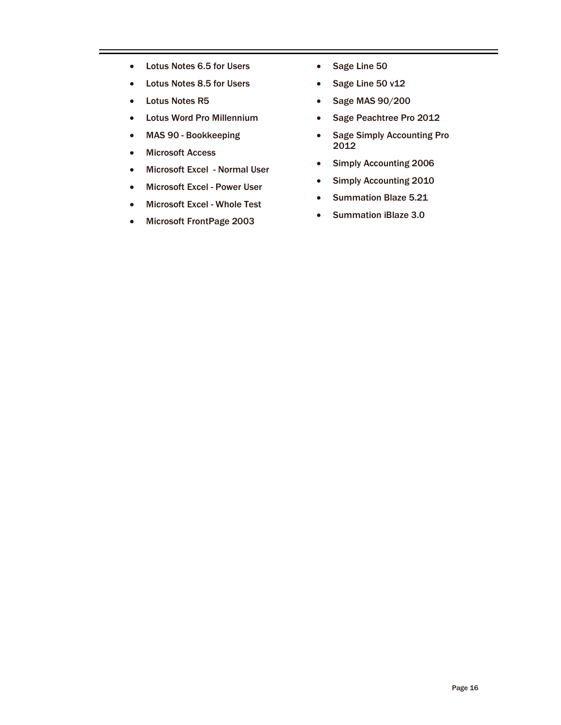- Lotus Notes 6.5 for Users
- Lotus Notes 8.5 for Users
- Lotus Notes R5
- Lotus Word Pro Millennium
- MAS 90 Bookkeeping
- Microsoft Access
- Microsoft Excel Normal User
- Microsoft Excel Power User
- Microsoft Excel Whole Test
- Microsoft FrontPage 2003
- Sage Line 50
- Sage Line 50 v12
- Sage MAS 90/200
- Sage Peachtree Pro 2012
- Sage Simply Accounting Pro 2012
- Simply Accounting 2006
- Simply Accounting 2010
- Summation Blaze 5.21
- Summation iBlaze 3.0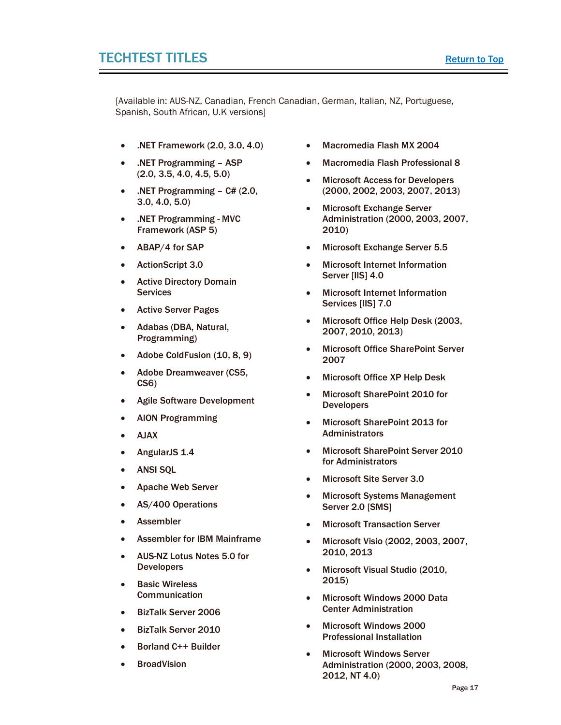<span id="page-16-0"></span>[Available in: AUS-NZ, Canadian, French Canadian, German, Italian, NZ, Portuguese, Spanish, South African, U.K versions]

- .NET Framework (2.0, 3.0, 4.0)
- .NET Programming ASP (2.0, 3.5, 4.0, 4.5, 5.0)
- .NET Programming C# (2.0, 3.0, 4.0, 5.0)
- .NET Programming MVC Framework (ASP 5)
- ABAP/4 for SAP
- ActionScript 3.0
- Active Directory Domain **Services**
- Active Server Pages
- Adabas (DBA, Natural, Programming)
- Adobe ColdFusion (10, 8, 9)
- Adobe Dreamweaver (CS5, CS6)
- Agile Software Development
- AION Programming
- AJAX
- AngularJS 1.4
- ANSI SQL
- Apache Web Server
- AS/400 Operations
- **Assembler**
- Assembler for IBM Mainframe
- AUS-NZ Lotus Notes 5.0 for **Developers**
- **Basic Wireless Communication**
- BizTalk Server 2006
- BizTalk Server 2010
- Borland C++ Builder
- **BroadVision**
- Macromedia Flash MX 2004
- Macromedia Flash Professional 8
- Microsoft Access for Developers (2000, 2002, 2003, 2007, 2013)
- Microsoft Exchange Server Administration (2000, 2003, 2007, 2010)
- Microsoft Exchange Server 5.5
- Microsoft Internet Information Server [IIS] 4.0
- Microsoft Internet Information Services [IIS] 7.0
- Microsoft Office Help Desk (2003, 2007, 2010, 2013)
- Microsoft Office SharePoint Server 2007
- Microsoft Office XP Help Desk
- Microsoft SharePoint 2010 for **Developers**
- Microsoft SharePoint 2013 for **Administrators**
- Microsoft SharePoint Server 2010 for Administrators
- Microsoft Site Server 3.0
- Microsoft Systems Management Server 2.0 [SMS]
- Microsoft Transaction Server
- Microsoft Visio (2002, 2003, 2007, 2010, 2013
- Microsoft Visual Studio (2010, 2015)
- Microsoft Windows 2000 Data Center Administration
- Microsoft Windows 2000 Professional Installation
- Microsoft Windows Server Administration (2000, 2003, 2008, 2012, NT 4.0)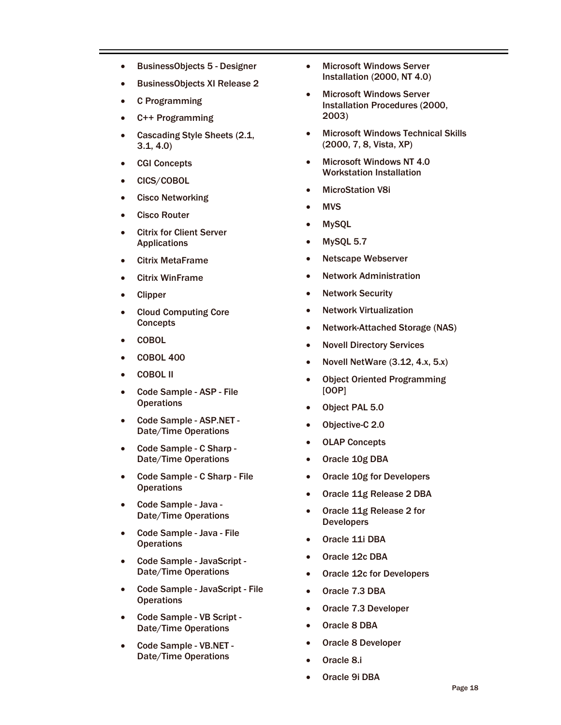- BusinessObjects 5 Designer
- BusinessObjects XI Release 2
- C Programming
- C++ Programming
- Cascading Style Sheets (2.1, 3.1, 4.0)
- **CGI Concepts**
- CICS/COBOL
- Cisco Networking
- **Cisco Router**
- **Citrix for Client Server Applications**
- Citrix MetaFrame
- **Citrix WinFrame**
- **Clipper**
- Cloud Computing Core **Concepts**
- COBOL
- COBOL 400
- COBOL II
- Code Sample ASP File **Operations**
- Code Sample ASP.NET Date/Time Operations
- Code Sample C Sharp Date/Time Operations
- Code Sample C Sharp File **Operations**
- Code Sample Java Date/Time Operations
- Code Sample Java File **Operations**
- Code Sample JavaScript Date/Time Operations
- Code Sample JavaScript File **Operations**
- Code Sample VB Script Date/Time Operations
- Code Sample VB.NET Date/Time Operations
- Microsoft Windows Server Installation (2000, NT 4.0)
- Microsoft Windows Server Installation Procedures (2000, 2003)
- Microsoft Windows Technical Skills (2000, 7, 8, Vista, XP)
- Microsoft Windows NT 4.0 Workstation Installation
- MicroStation V8i
- MVS
- MySQL
- MySQL 5.7
- Netscape Webserver
- Network Administration
- Network Security
- Network Virtualization
- Network-Attached Storage (NAS)
- Novell Directory Services
- Novell NetWare  $(3.12, 4.x, 5.x)$
- Object Oriented Programming [OOP]
- Object PAL 5.0
- Objective-C 2.0
- OLAP Concepts
- Oracle 10g DBA
- Oracle 10g for Developers
- Oracle 11g Release 2 DBA
- Oracle 11g Release 2 for **Developers**
- Oracle 11i DBA
- Oracle 12c DBA
- Oracle 12c for Developers
- Oracle 7.3 DBA
- Oracle 7.3 Developer
- Oracle 8 DBA
- Oracle 8 Developer
- Oracle 8.i
- Oracle 9i DBA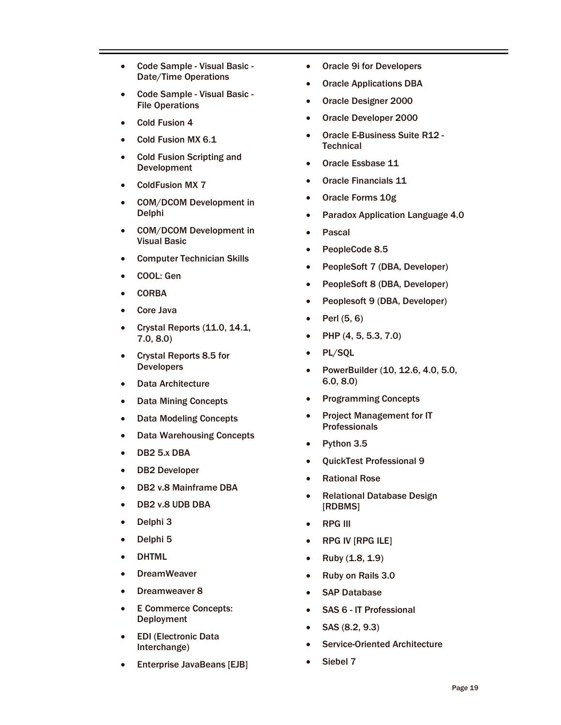- Code Sample Visual Basic Date/Time Operations
- Code Sample Visual Basic File Operations
- Cold Fusion 4
- Cold Fusion MX 6.1
- Cold Fusion Scripting and Development
- ColdFusion MX 7
- COM/DCOM Development in Delphi
- COM/DCOM Development in Visual Basic
- Computer Technician Skills
- COOL: Gen
- CORBA
- Core Java
- Crystal Reports (11.0, 14.1, 7.0, 8.0)
- Crystal Reports 8.5 for **Developers**
- Data Architecture
- Data Mining Concepts
- Data Modeling Concepts
- Data Warehousing Concepts
- DB2 5.x DBA
- DB2 Developer
- DB2 v.8 Mainframe DBA
- DB2 v.8 UDB DBA
- Delphi 3
- Delphi 5
- DHTML
- DreamWeaver
- Dreamweaver 8
- E Commerce Concepts: Deployment
- EDI (Electronic Data Interchange)
- Enterprise JavaBeans [EJB]
- Oracle 9i for Developers
- Oracle Applications DBA
- Oracle Designer 2000
- Oracle Developer 2000
- Oracle E-Business Suite R12 **Technical**
- Oracle Essbase 11
- Oracle Financials 11
- Oracle Forms 10g
- Paradox Application Language 4.0
- Pascal
- PeopleCode 8.5
- PeopleSoft 7 (DBA, Developer)
- PeopleSoft 8 (DBA, Developer)
- Peoplesoft 9 (DBA, Developer)
- Perl (5, 6)
- PHP (4, 5, 5.3, 7.0)
- PL/SQL
- PowerBuilder (10, 12.6, 4.0, 5.0, 6.0, 8.0)
- Programming Concepts
- Project Management for IT Professionals
- Python 3.5
- QuickTest Professional 9
- Rational Rose
- Relational Database Design [RDBMS]
- RPG III
- RPG IV [RPG ILE]
- Ruby (1.8, 1.9)
- Ruby on Rails 3.0
- SAP Database
- SAS 6 IT Professional
- SAS (8.2, 9.3)
- Service-Oriented Architecture
- Siebel 7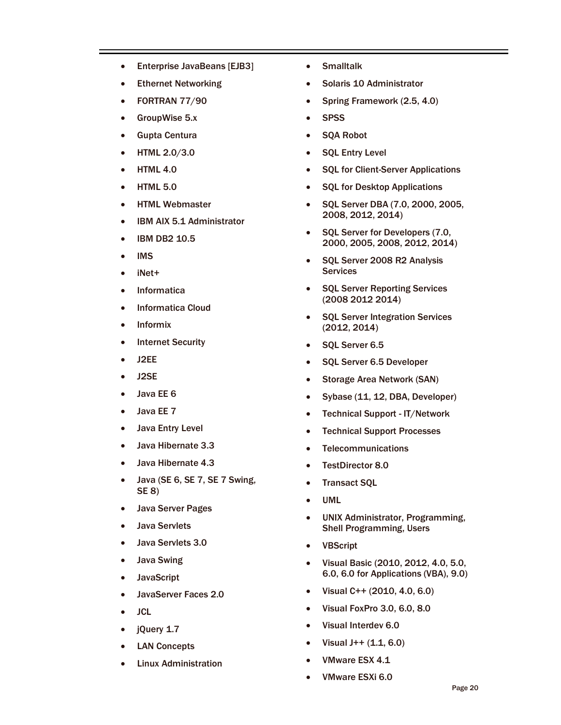- Enterprise JavaBeans [EJB3]
- Ethernet Networking
- FORTRAN 77/90
- GroupWise 5.x
- Gupta Centura
- HTML 2.0/3.0
- HTML 4.0
- **HTML 5.0**
- HTML Webmaster
- IBM AIX 5.1 Administrator
- IBM DB2 10.5
- IMS
- iNet+
- **Informatica**
- Informatica Cloud
- Informix
- Internet Security
- J2EE
- J2SE
- Java EE 6
- Java EE 7
- Java Entry Level
- Java Hibernate 3.3
- Java Hibernate 4.3
- Java (SE 6, SE 7, SE 7 Swing, SE 8)
- Java Server Pages
- Java Servlets
- Java Servlets 3.0
- Java Swing
- JavaScript
- JavaServer Faces 2.0
- JCL
- jQuery 1.7
- **LAN Concepts**
- Linux Administration
- Smalltalk
- Solaris 10 Administrator
- Spring Framework (2.5, 4.0)
- SPSS
- SQA Robot
- SQL Entry Level
- SQL for Client-Server Applications
- SQL for Desktop Applications
- SQL Server DBA (7.0, 2000, 2005, 2008, 2012, 2014)
- SQL Server for Developers (7.0, 2000, 2005, 2008, 2012, 2014)
- SQL Server 2008 R2 Analysis **Services**
- SQL Server Reporting Services (2008 2012 2014)
- SQL Server Integration Services (2012, 2014)
- SQL Server 6.5
- SQL Server 6.5 Developer
- Storage Area Network (SAN)
- Sybase (11, 12, DBA, Developer)
- Technical Support IT/Network
- Technical Support Processes
- Telecommunications
- TestDirector 8.0
- Transact SQL
- UML
- UNIX Administrator, Programming, Shell Programming, Users
- VBScript
- Visual Basic (2010, 2012, 4.0, 5.0, 6.0, 6.0 for Applications (VBA), 9.0)
- Visual C++ (2010, 4.0, 6.0)
- Visual FoxPro 3.0, 6.0, 8.0
- Visual Interdev 6.0
- Visual  $J++ (1.1, 6.0)$
- VMware ESX 4.1
- VMware ESXi 6.0